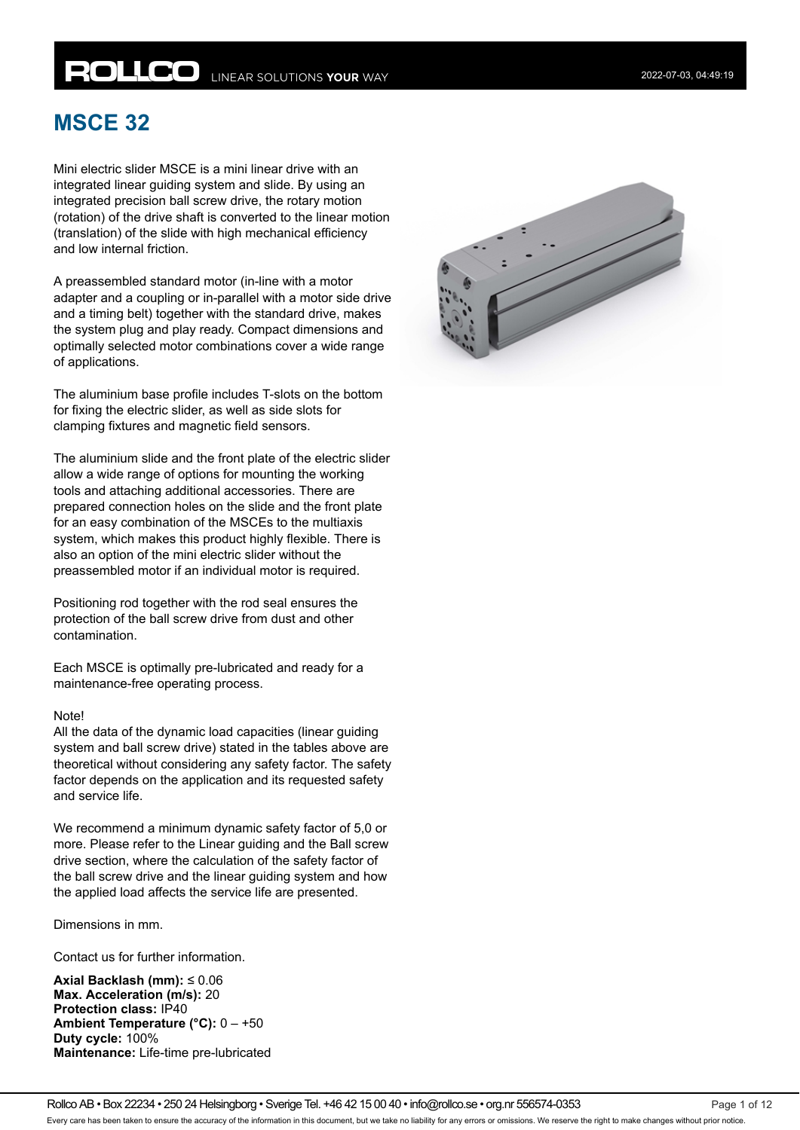# **ROLLCO** LINEAR SOLUTIONS YOUR WAY

## **MSCE 32**

Mini electric slider MSCE is a mini linear drive with an integrated linear guiding system and slide. By using an integrated precision ball screw drive, the rotary motion (rotation) of the drive shaft is converted to the linear motion (translation) of the slide with high mechanical efficiency and low internal friction.

A preassembled standard motor (in-line with a motor adapter and a coupling or in-parallel with a motor side drive and a timing belt) together with the standard drive, makes the system plug and play ready. Compact dimensions and optimally selected motor combinations cover a wide range of applications.

The aluminium base profile includes T-slots on the bottom for fixing the electric slider, as well as side slots for clamping fixtures and magnetic field sensors.

The aluminium slide and the front plate of the electric slider allow a wide range of options for mounting the working tools and attaching additional accessories. There are prepared connection holes on the slide and the front plate for an easy combination of the MSCEs to the multiaxis system, which makes this product highly flexible. There is also an option of the mini electric slider without the preassembled motor if an individual motor is required.

Positioning rod together with the rod seal ensures the protection of the ball screw drive from dust and other contamination.

Each MSCE is optimally pre-lubricated and ready for a maintenance-free operating process.

#### Note!

All the data of the dynamic load capacities (linear guiding system and ball screw drive) stated in the tables above are theoretical without considering any safety factor. The safety factor depends on the application and its requested safety and service life.

We recommend a minimum dynamic safety factor of 5,0 or more. Please refer to the Linear guiding and the Ball screw drive section, where the calculation of the safety factor of the ball screw drive and the linear guiding system and how the applied load affects the service life are presented.

Dimensions in mm.

Contact us for further information.

**Axial Backlash (mm):** ≤ 0.06 **Max. Acceleration (m/s):** 20 **Protection class:** IP40 **Ambient Temperature (°C):** 0 – +50 **Duty cycle:** 100% **Maintenance:** Life-time pre-lubricated

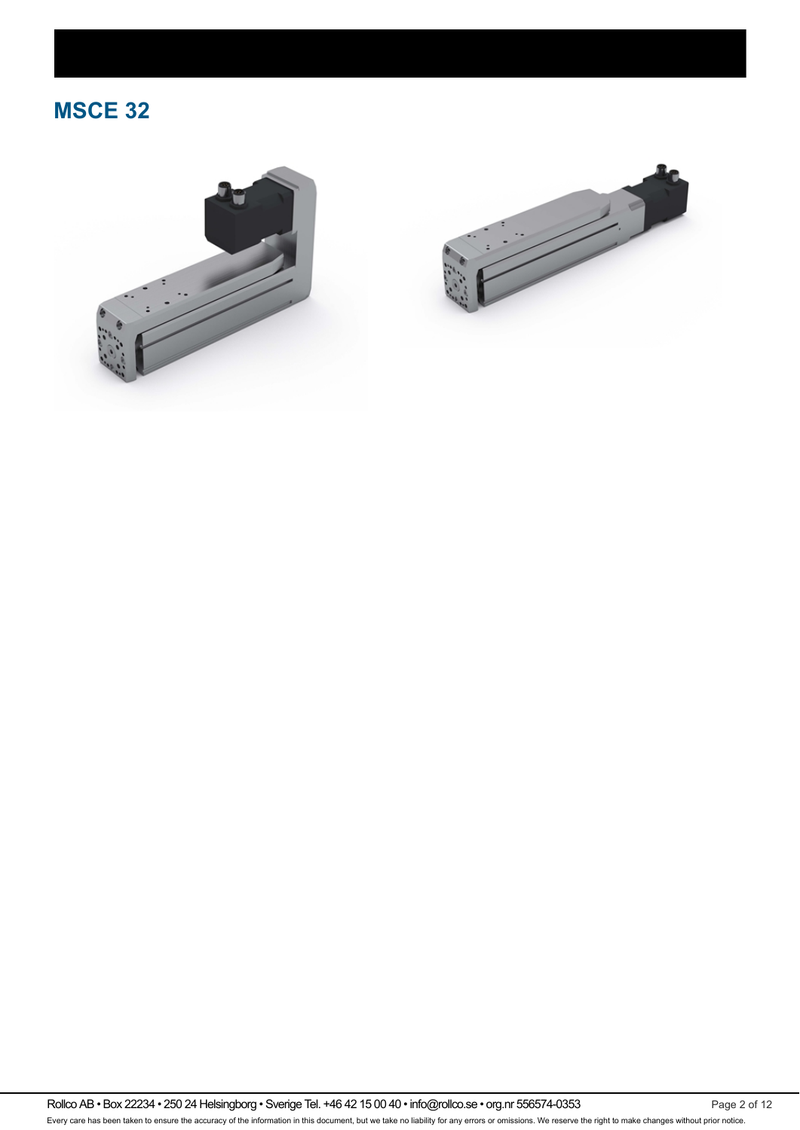## **MSCE 32**





Rollco AB • Box 22234 • 250 24 Helsingborg • Sverige Tel. +46 42 15 00 40 • info@rollco.se • org.nr 556574-0353 Page 2 of 12 Every care has been taken to ensure the accuracy of the information in this document, but we take no liability for any errors or omissions. We reserve the right to make changes without prior notice.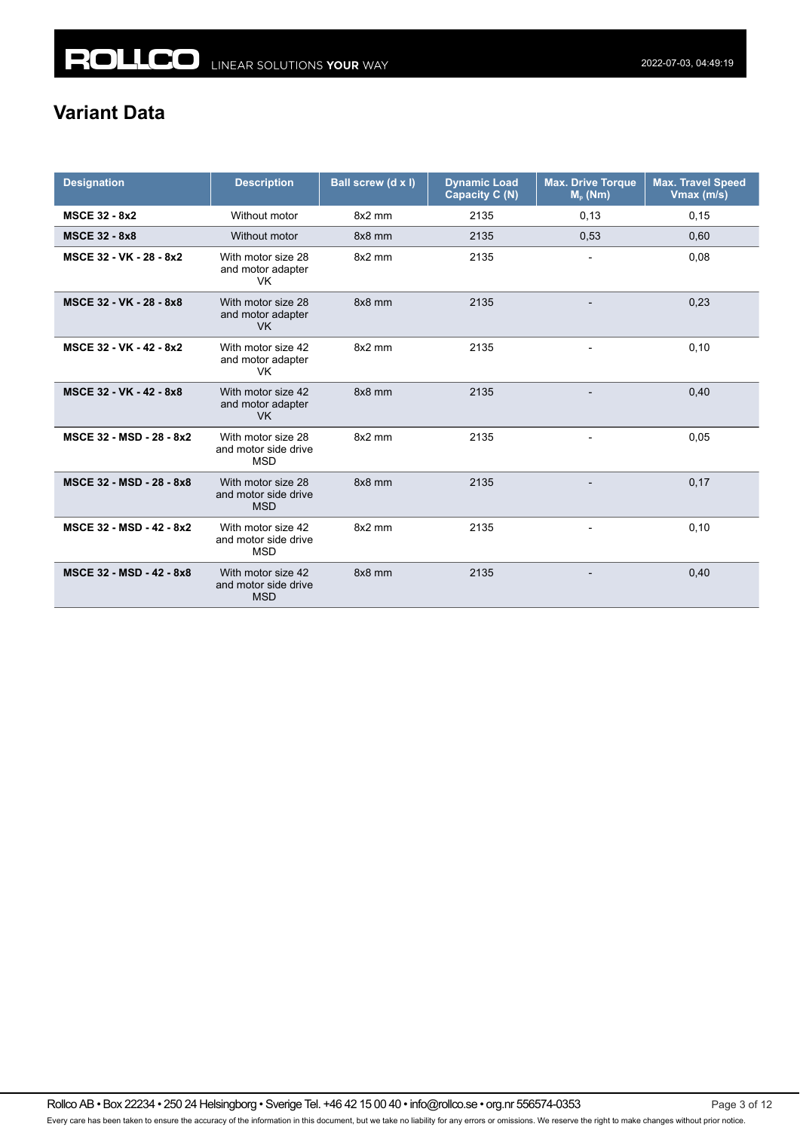### **Variant Data**

| <b>Designation</b>       | <b>Description</b>                                       | Ball screw (d x l) | <b>Dynamic Load</b><br>Capacity C (N) | <b>Max. Drive Torque</b><br>$M_{p}$ (Nm) | <b>Max. Travel Speed</b><br>Vmax (m/s) |
|--------------------------|----------------------------------------------------------|--------------------|---------------------------------------|------------------------------------------|----------------------------------------|
| <b>MSCE 32 - 8x2</b>     | Without motor                                            | $8x2$ mm           | 2135                                  | 0.13                                     | 0, 15                                  |
| <b>MSCE 32 - 8x8</b>     | Without motor                                            | 8x8 mm             | 2135                                  | 0,53                                     | 0,60                                   |
| MSCE 32 - VK - 28 - 8x2  | With motor size 28<br>and motor adapter<br>VK.           | $8x2$ mm           | 2135                                  | $\overline{a}$                           | 0,08                                   |
| MSCE 32 - VK - 28 - 8x8  | With motor size 28<br>and motor adapter<br><b>VK</b>     | 8x8 mm             | 2135                                  |                                          | 0.23                                   |
| MSCE 32 - VK - 42 - 8x2  | With motor size 42<br>and motor adapter<br>VK.           | $8x2$ mm           | 2135                                  | $\overline{a}$                           | 0,10                                   |
| MSCE 32 - VK - 42 - 8x8  | With motor size 42<br>and motor adapter<br><b>VK</b>     | 8x8 mm             | 2135                                  |                                          | 0.40                                   |
| MSCE 32 - MSD - 28 - 8x2 | With motor size 28<br>and motor side drive<br><b>MSD</b> | $8x2$ mm           | 2135                                  |                                          | 0,05                                   |
| MSCE 32 - MSD - 28 - 8x8 | With motor size 28<br>and motor side drive<br><b>MSD</b> | 8x8 mm             | 2135                                  |                                          | 0,17                                   |
| MSCE 32 - MSD - 42 - 8x2 | With motor size 42<br>and motor side drive<br><b>MSD</b> | 8x2 mm             | 2135                                  |                                          | 0,10                                   |
| MSCE 32 - MSD - 42 - 8x8 | With motor size 42<br>and motor side drive<br><b>MSD</b> | 8x8 mm             | 2135                                  |                                          | 0,40                                   |

Rollco AB • Box 22234 • 250 24 Helsingborg • Sverige Tel. +46 42 15 00 40 • info@rollco.se • org.nr 556574-0353 Page 3 of 12 Every care has been taken to ensure the accuracy of the information in this document, but we take no liability for any errors or omissions. We reserve the right to make changes without prior notice.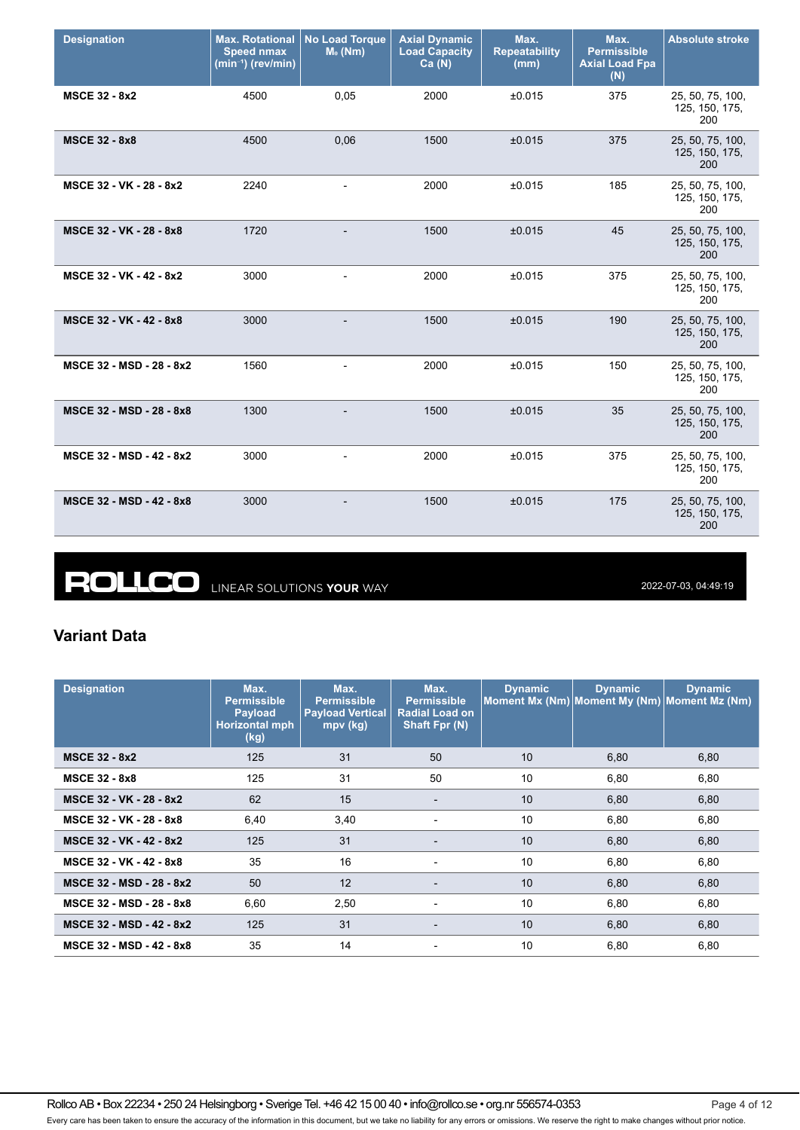| <b>Designation</b>       | <b>Max. Rotational</b><br><b>Speed nmax</b><br>(min <sup>-1</sup> ) (rev/min) | <b>No Load Torque</b><br>$M0$ (Nm) | <b>Axial Dynamic</b><br><b>Load Capacity</b><br>Ca(N) | Max.<br><b>Repeatability</b><br>(mm) | Max.<br><b>Permissible</b><br><b>Axial Load Fpa</b><br>(N) | <b>Absolute stroke</b>                    |
|--------------------------|-------------------------------------------------------------------------------|------------------------------------|-------------------------------------------------------|--------------------------------------|------------------------------------------------------------|-------------------------------------------|
| <b>MSCE 32 - 8x2</b>     | 4500                                                                          | 0.05                               | 2000                                                  | ±0.015                               | 375                                                        | 25, 50, 75, 100,<br>125, 150, 175,<br>200 |
| <b>MSCE 32 - 8x8</b>     | 4500                                                                          | 0,06                               | 1500                                                  | ±0.015                               | 375                                                        | 25, 50, 75, 100,<br>125, 150, 175,<br>200 |
| MSCE 32 - VK - 28 - 8x2  | 2240                                                                          |                                    | 2000                                                  | ±0.015                               | 185                                                        | 25, 50, 75, 100,<br>125, 150, 175,<br>200 |
| MSCE 32 - VK - 28 - 8x8  | 1720                                                                          |                                    | 1500                                                  | ±0.015                               | 45                                                         | 25, 50, 75, 100,<br>125, 150, 175,<br>200 |
| MSCE 32 - VK - 42 - 8x2  | 3000                                                                          | $\overline{\phantom{a}}$           | 2000                                                  | ±0.015                               | 375                                                        | 25, 50, 75, 100,<br>125, 150, 175,<br>200 |
| MSCE 32 - VK - 42 - 8x8  | 3000                                                                          |                                    | 1500                                                  | ±0.015                               | 190                                                        | 25, 50, 75, 100,<br>125, 150, 175,<br>200 |
| MSCE 32 - MSD - 28 - 8x2 | 1560                                                                          |                                    | 2000                                                  | ±0.015                               | 150                                                        | 25, 50, 75, 100,<br>125, 150, 175,<br>200 |
| MSCE 32 - MSD - 28 - 8x8 | 1300                                                                          | $\overline{a}$                     | 1500                                                  | ±0.015                               | 35                                                         | 25, 50, 75, 100,<br>125, 150, 175,<br>200 |
| MSCE 32 - MSD - 42 - 8x2 | 3000                                                                          | $\overline{\phantom{a}}$           | 2000                                                  | ±0.015                               | 375                                                        | 25, 50, 75, 100,<br>125, 150, 175,<br>200 |
| MSCE 32 - MSD - 42 - 8x8 | 3000                                                                          |                                    | 1500                                                  | ±0.015                               | 175                                                        | 25, 50, 75, 100,<br>125, 150, 175,<br>200 |

**ROLLCO** LINEAR SOLUTIONS YOUR WAY

2022-07-03, 04:49:19

### **Variant Data**

| <b>Designation</b>       | Max.<br><b>Permissible</b><br><b>Payload</b><br><b>Horizontal mph</b><br>(kg) | Max.<br><b>Permissible</b><br><b>Payload Vertical</b><br>mpv (kg) | Max.<br><b>Permissible</b><br><b>Radial Load on</b><br>Shaft Fpr (N) | <b>Dynamic</b> | <b>Dynamic</b><br>Moment Mx (Nm) Moment My (Nm) Moment Mz (Nm) | <b>Dynamic</b> |
|--------------------------|-------------------------------------------------------------------------------|-------------------------------------------------------------------|----------------------------------------------------------------------|----------------|----------------------------------------------------------------|----------------|
| <b>MSCE 32 - 8x2</b>     | 125                                                                           | 31                                                                | 50                                                                   | 10             | 6,80                                                           | 6,80           |
| <b>MSCE 32 - 8x8</b>     | 125                                                                           | 31                                                                | 50                                                                   | 10             | 6,80                                                           | 6,80           |
| MSCE 32 - VK - 28 - 8x2  | 62                                                                            | 15                                                                | $\blacksquare$                                                       | 10             | 6,80                                                           | 6,80           |
| MSCE 32 - VK - 28 - 8x8  | 6,40                                                                          | 3,40                                                              | $\overline{\phantom{a}}$                                             | 10             | 6,80                                                           | 6,80           |
| MSCE 32 - VK - 42 - 8x2  | 125                                                                           | 31                                                                | $\overline{a}$                                                       | 10             | 6,80                                                           | 6,80           |
| MSCE 32 - VK - 42 - 8x8  | 35                                                                            | 16                                                                | $\overline{\phantom{a}}$                                             | 10             | 6,80                                                           | 6,80           |
| MSCE 32 - MSD - 28 - 8x2 | 50                                                                            | 12                                                                | $\overline{\phantom{a}}$                                             | 10             | 6,80                                                           | 6,80           |
| MSCE 32 - MSD - 28 - 8x8 | 6,60                                                                          | 2,50                                                              | $\overline{\phantom{a}}$                                             | 10             | 6,80                                                           | 6,80           |
| MSCE 32 - MSD - 42 - 8x2 | 125                                                                           | 31                                                                | $\overline{\phantom{a}}$                                             | 10             | 6,80                                                           | 6,80           |
| MSCE 32 - MSD - 42 - 8x8 | 35                                                                            | 14                                                                | $\overline{\phantom{0}}$                                             | 10             | 6,80                                                           | 6,80           |

Rollco AB • Box 22234 • 250 24 Helsingborg • Sverige Tel. +46 42 15 00 40 • info@rollco.se • org.nr 556574-0353 Page 4 of 12 Every care has been taken to ensure the accuracy of the information in this document, but we take no liability for any errors or omissions. We reserve the right to make changes without prior notice.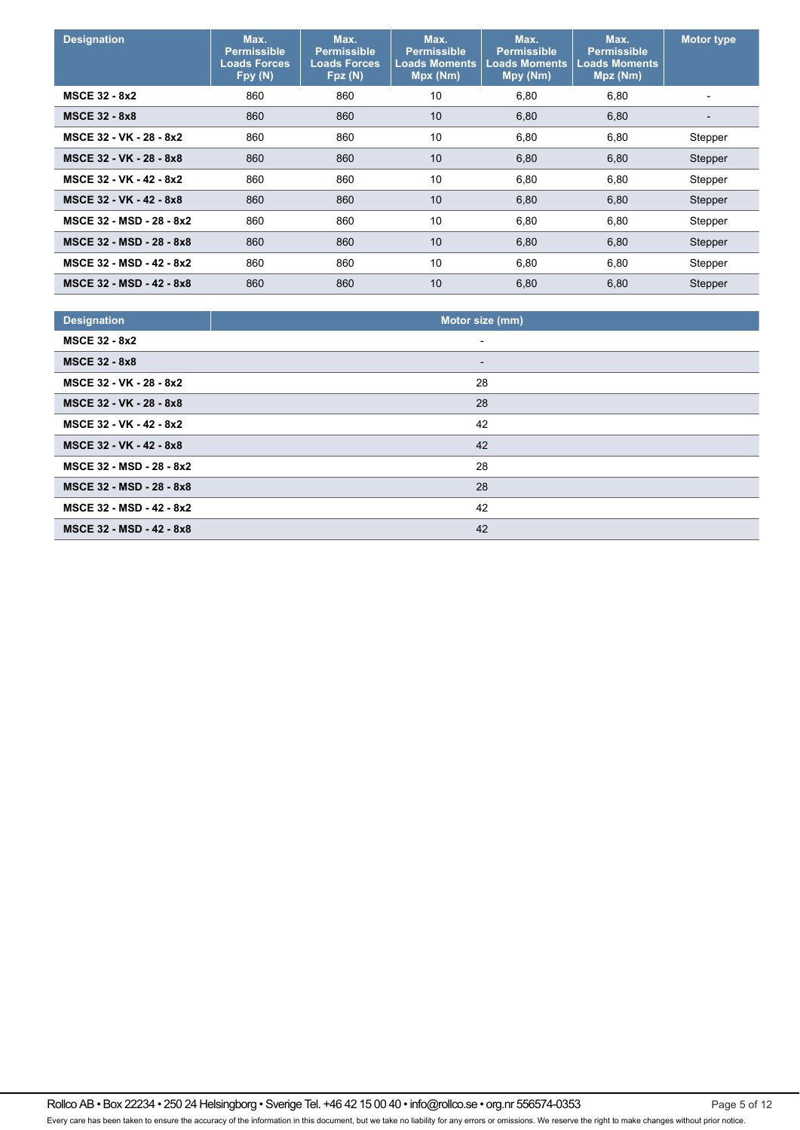| <b>Designation</b>       | Max.<br><b>Permissible</b><br><b>Loads Forces</b><br>Fpy (N) | Max.<br><b>Permissible</b><br><b>Loads Forces</b><br>Fpz(N) | Max.<br><b>Permissible</b><br><b>Loads Moments</b><br>Mpx (Nm) | Max.<br><b>Permissible</b><br><b>Loads Moments</b><br>Mpy (Nm) | Max.<br><b>Permissible</b><br><b>Loads Moments</b><br>Mpz (Nm) | <b>Motor type</b> |
|--------------------------|--------------------------------------------------------------|-------------------------------------------------------------|----------------------------------------------------------------|----------------------------------------------------------------|----------------------------------------------------------------|-------------------|
| <b>MSCE 32 - 8x2</b>     | 860                                                          | 860                                                         | 10                                                             | 6,80                                                           | 6,80                                                           | ۰                 |
| <b>MSCE 32 - 8x8</b>     | 860                                                          | 860                                                         | 10                                                             | 6,80                                                           | 6,80                                                           | -                 |
| MSCE 32 - VK - 28 - 8x2  | 860                                                          | 860                                                         | 10                                                             | 6,80                                                           | 6,80                                                           | Stepper           |
| MSCE 32 - VK - 28 - 8x8  | 860                                                          | 860                                                         | 10                                                             | 6,80                                                           | 6,80                                                           | Stepper           |
| MSCE 32 - VK - 42 - 8x2  | 860                                                          | 860                                                         | 10                                                             | 6,80                                                           | 6,80                                                           | Stepper           |
| MSCE 32 - VK - 42 - 8x8  | 860                                                          | 860                                                         | 10                                                             | 6,80                                                           | 6,80                                                           | Stepper           |
| MSCE 32 - MSD - 28 - 8x2 | 860                                                          | 860                                                         | 10                                                             | 6,80                                                           | 6,80                                                           | Stepper           |
| MSCE 32 - MSD - 28 - 8x8 | 860                                                          | 860                                                         | 10                                                             | 6,80                                                           | 6,80                                                           | Stepper           |
| MSCE 32 - MSD - 42 - 8x2 | 860                                                          | 860                                                         | 10                                                             | 6,80                                                           | 6,80                                                           | Stepper           |
| MSCE 32 - MSD - 42 - 8x8 | 860                                                          | 860                                                         | 10                                                             | 6,80                                                           | 6,80                                                           | Stepper           |

| <b>Designation</b>       | Motor size (mm)          |
|--------------------------|--------------------------|
| <b>MSCE 32 - 8x2</b>     | $\overline{\phantom{a}}$ |
| <b>MSCE 32 - 8x8</b>     | $\overline{\phantom{a}}$ |
| MSCE 32 - VK - 28 - 8x2  | 28                       |
| MSCE 32 - VK - 28 - 8x8  | 28                       |
| MSCE 32 - VK - 42 - 8x2  | 42                       |
| MSCE 32 - VK - 42 - 8x8  | 42                       |
| MSCE 32 - MSD - 28 - 8x2 | 28                       |
| MSCE 32 - MSD - 28 - 8x8 | 28                       |
| MSCE 32 - MSD - 42 - 8x2 | 42                       |
| MSCE 32 - MSD - 42 - 8x8 | 42                       |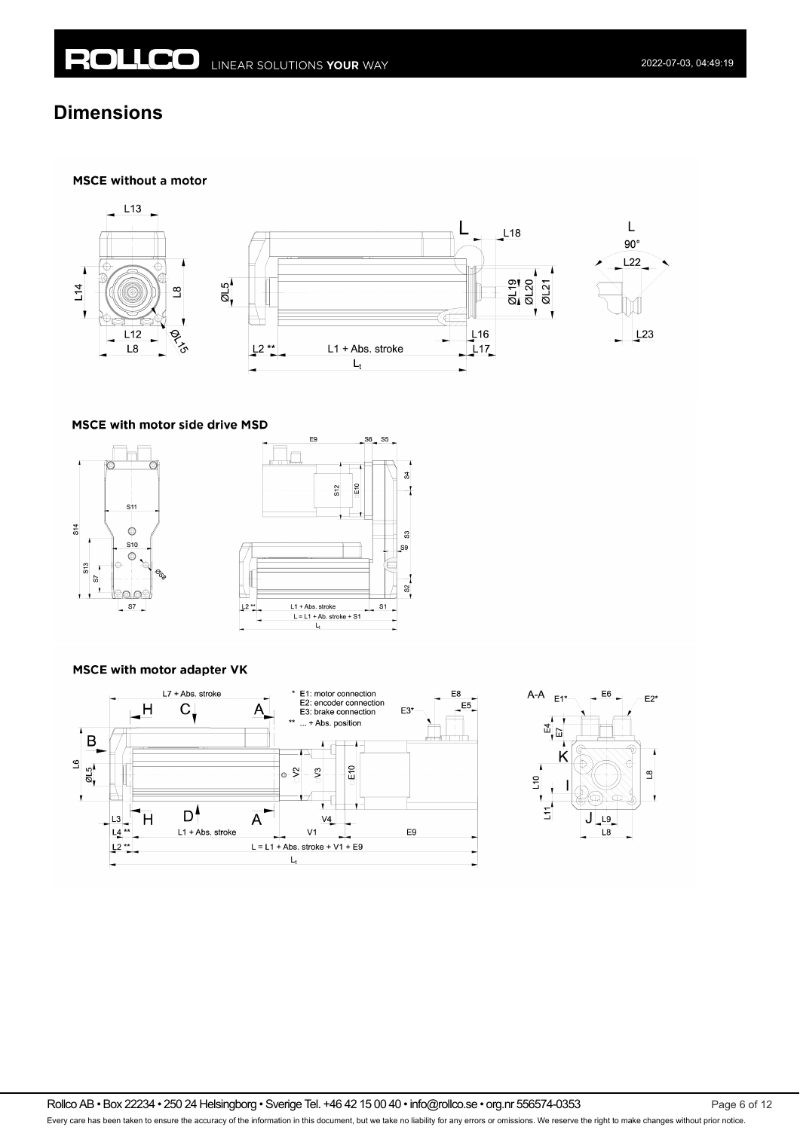#### **MSCE without a motor**



#### MSCE with motor side drive MSD





### **MSCE with motor adapter VK**





Rollco AB • Box 22234 • 250 24 Helsingborg • Sverige Tel. +46 42 15 00 40 • info@rollco.se • org.nr 556574-0353 Page 6 of 12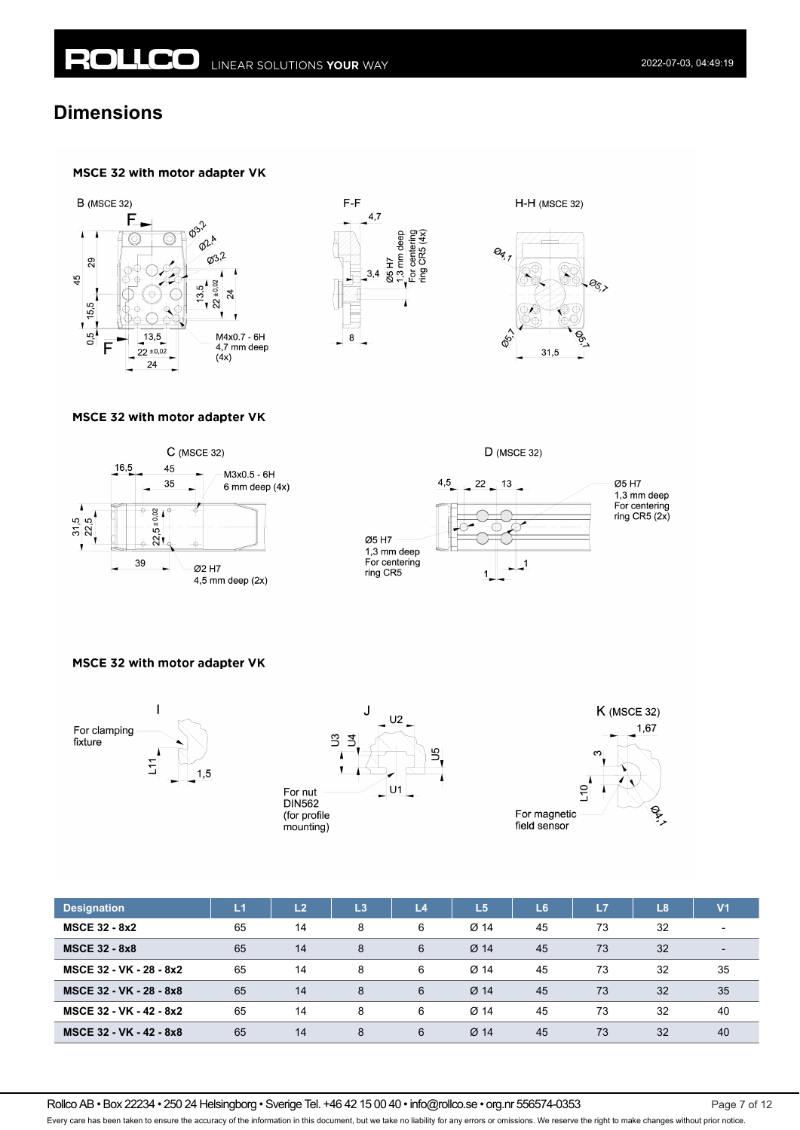### MSCE 32 with motor adapter VK



#### MSCE 32 with motor adapter VK





 $D$  (MSCE 32)



## MSCE 32 with motor adapter VK







| <b>Designation</b>      | L1 | L <sub>2</sub> | L <sub>3</sub> | L <sub>4</sub> | L <sub>5</sub>   | L6 | L7 | L <sub>8</sub> | V <sub>1</sub>           |
|-------------------------|----|----------------|----------------|----------------|------------------|----|----|----------------|--------------------------|
| <b>MSCE 32 - 8x2</b>    | 65 | 14             | 8              | 6              | $\varnothing$ 14 | 45 | 73 | 32             | $\overline{\phantom{0}}$ |
| <b>MSCE 32 - 8x8</b>    | 65 | 14             | 8              | 6              | Ø <sub>14</sub>  | 45 | 73 | 32             | $\overline{\phantom{a}}$ |
| MSCE 32 - VK - 28 - 8x2 | 65 | 14             | 8              | 6              | Ø <sub>14</sub>  | 45 | 73 | 32             | 35                       |
| MSCE 32 - VK - 28 - 8x8 | 65 | 14             | 8              | 6              | Ø <sub>14</sub>  | 45 | 73 | 32             | 35                       |
| MSCE 32 - VK - 42 - 8x2 | 65 | 14             | 8              | 6              | Ø <sub>14</sub>  | 45 | 73 | 32             | 40                       |
| MSCE 32 - VK - 42 - 8x8 | 65 | 14             | 8              | 6              | Ø <sub>14</sub>  | 45 | 73 | 32             | 40                       |

Rollco AB • Box 22234 • 250 24 Helsingborg • Sverige Tel. +46 42 15 00 40 • info@rollco.se • org.nr 556574-0353 Page 7 of 12

Every care has been taken to ensure the accuracy of the information in this document, but we take no liability for any errors or omissions. We reserve the right to make changes without prior notice.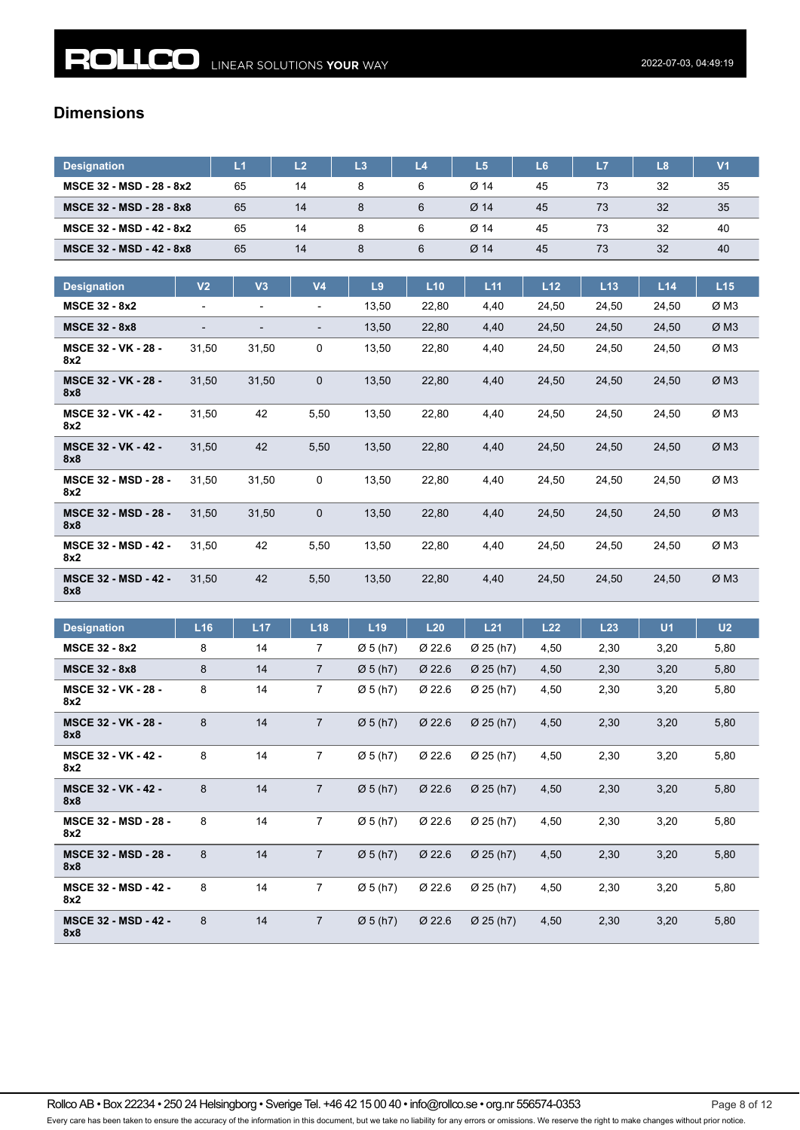| <b>Designation</b>       | L1 | L <sub>2</sub> | L <sub>3</sub> | L4 | L <sub>5</sub>   | L <sub>6</sub> | L7 | L8 | V1 |
|--------------------------|----|----------------|----------------|----|------------------|----------------|----|----|----|
| MSCE 32 - MSD - 28 - 8x2 | 65 | 14             |                | 6  | $\varnothing$ 14 | 45             | 73 | 32 | 35 |
| MSCE 32 - MSD - 28 - 8x8 | 65 | 14             | 8              | 6  | $\varnothing$ 14 | 45             | 73 | 32 | 35 |
| MSCE 32 - MSD - 42 - 8x2 | 65 | 14             |                | 6  | $Ø$ 14           | 45             | 73 | 32 | 40 |
| MSCE 32 - MSD - 42 - 8x8 | 65 | 14             |                | 6  | $\varnothing$ 14 | 45             | 73 | 32 | 40 |

| <b>Designation</b>                 | V <sub>2</sub>           | V <sub>3</sub>           | V <sub>4</sub> | L <sub>9</sub> | L10   | L11  | L12   | L13   | L14   | L15 |
|------------------------------------|--------------------------|--------------------------|----------------|----------------|-------|------|-------|-------|-------|-----|
| <b>MSCE 32 - 8x2</b>               | $\blacksquare$           | $\overline{\phantom{0}}$ | ۰              | 13,50          | 22,80 | 4,40 | 24,50 | 24,50 | 24,50 | ØM3 |
| <b>MSCE 32 - 8x8</b>               | $\overline{\phantom{a}}$ | ٠                        | -              | 13,50          | 22,80 | 4,40 | 24,50 | 24,50 | 24,50 | ØM3 |
| <b>MSCE 32 - VK - 28 -</b><br>8x2  | 31,50                    | 31,50                    | 0              | 13,50          | 22,80 | 4,40 | 24,50 | 24,50 | 24,50 | ØM3 |
| <b>MSCE 32 - VK - 28 -</b><br>8x8  | 31,50                    | 31,50                    | $\mathbf 0$    | 13,50          | 22,80 | 4,40 | 24,50 | 24,50 | 24,50 | ØM3 |
| <b>MSCE 32 - VK - 42 -</b><br>8x2  | 31,50                    | 42                       | 5,50           | 13,50          | 22,80 | 4,40 | 24,50 | 24,50 | 24,50 | ØM3 |
| <b>MSCE 32 - VK - 42 -</b><br>8x8  | 31,50                    | 42                       | 5,50           | 13,50          | 22,80 | 4,40 | 24,50 | 24,50 | 24,50 | ØM3 |
| <b>MSCE 32 - MSD - 28 -</b><br>8x2 | 31,50                    | 31,50                    | 0              | 13,50          | 22,80 | 4,40 | 24,50 | 24,50 | 24,50 | ØM3 |
| <b>MSCE 32 - MSD - 28 -</b><br>8x8 | 31,50                    | 31,50                    | $\mathbf 0$    | 13,50          | 22,80 | 4,40 | 24,50 | 24,50 | 24,50 | ØM3 |
| <b>MSCE 32 - MSD - 42 -</b><br>8x2 | 31,50                    | 42                       | 5,50           | 13,50          | 22,80 | 4,40 | 24,50 | 24,50 | 24,50 | ØM3 |
| <b>MSCE 32 - MSD - 42 -</b><br>8x8 | 31,50                    | 42                       | 5,50           | 13,50          | 22,80 | 4,40 | 24,50 | 24,50 | 24,50 | ØM3 |

| <b>Designation</b>                 | L16 | L17 | L18            | L19                  | L20    | L21                   | L22  | L23  | U <sub>1</sub> | U <sub>2</sub> |
|------------------------------------|-----|-----|----------------|----------------------|--------|-----------------------|------|------|----------------|----------------|
| <b>MSCE 32 - 8x2</b>               | 8   | 14  | $\overline{7}$ | $\varnothing$ 5 (h7) | Ø 22.6 | Ø 25(h7)              | 4,50 | 2,30 | 3,20           | 5,80           |
| <b>MSCE 32 - 8x8</b>               | 8   | 14  | $\overline{7}$ | $\varnothing$ 5 (h7) | Ø 22.6 | Ø 25 (h7)             | 4,50 | 2,30 | 3,20           | 5,80           |
| <b>MSCE 32 - VK - 28 -</b><br>8x2  | 8   | 14  | 7              | Ø5(h7)               | Ø 22.6 | Ø 25(h7)              | 4,50 | 2,30 | 3,20           | 5,80           |
| <b>MSCE 32 - VK - 28 -</b><br>8x8  | 8   | 14  | $\overline{7}$ | $\varnothing$ 5 (h7) | Ø 22.6 | Ø 25(h7)              | 4,50 | 2,30 | 3,20           | 5,80           |
| <b>MSCE 32 - VK - 42 -</b><br>8x2  | 8   | 14  | $\overline{7}$ | $\varnothing$ 5 (h7) | Ø 22.6 | Ø 25(h7)              | 4,50 | 2,30 | 3,20           | 5,80           |
| <b>MSCE 32 - VK - 42 -</b><br>8x8  | 8   | 14  | $\overline{7}$ | $\varnothing$ 5 (h7) | Ø 22.6 | $\varnothing$ 25 (h7) | 4,50 | 2,30 | 3,20           | 5,80           |
| <b>MSCE 32 - MSD - 28 -</b><br>8x2 | 8   | 14  | $\overline{7}$ | Ø5(h7)               | Ø 22.6 | Ø 25(h7)              | 4,50 | 2,30 | 3,20           | 5,80           |
| <b>MSCE 32 - MSD - 28 -</b><br>8x8 | 8   | 14  | $\overline{7}$ | $\varnothing$ 5 (h7) | Ø 22.6 | Ø 25(h7)              | 4,50 | 2,30 | 3,20           | 5,80           |
| <b>MSCE 32 - MSD - 42 -</b><br>8x2 | 8   | 14  | $\overline{7}$ | $\varnothing$ 5 (h7) | Ø 22.6 | Ø 25(h7)              | 4,50 | 2,30 | 3,20           | 5,80           |
| <b>MSCE 32 - MSD - 42 -</b><br>8x8 | 8   | 14  | $\overline{7}$ | $\varnothing$ 5 (h7) | Ø 22.6 | $Ø$ 25 (h7).          | 4,50 | 2,30 | 3,20           | 5,80           |

Rollco AB • Box 22234 • 250 24 Helsingborg • Sverige Tel. +46 42 15 00 40 • info@rollco.se • org.nr 556574-0353 Page 8 of 12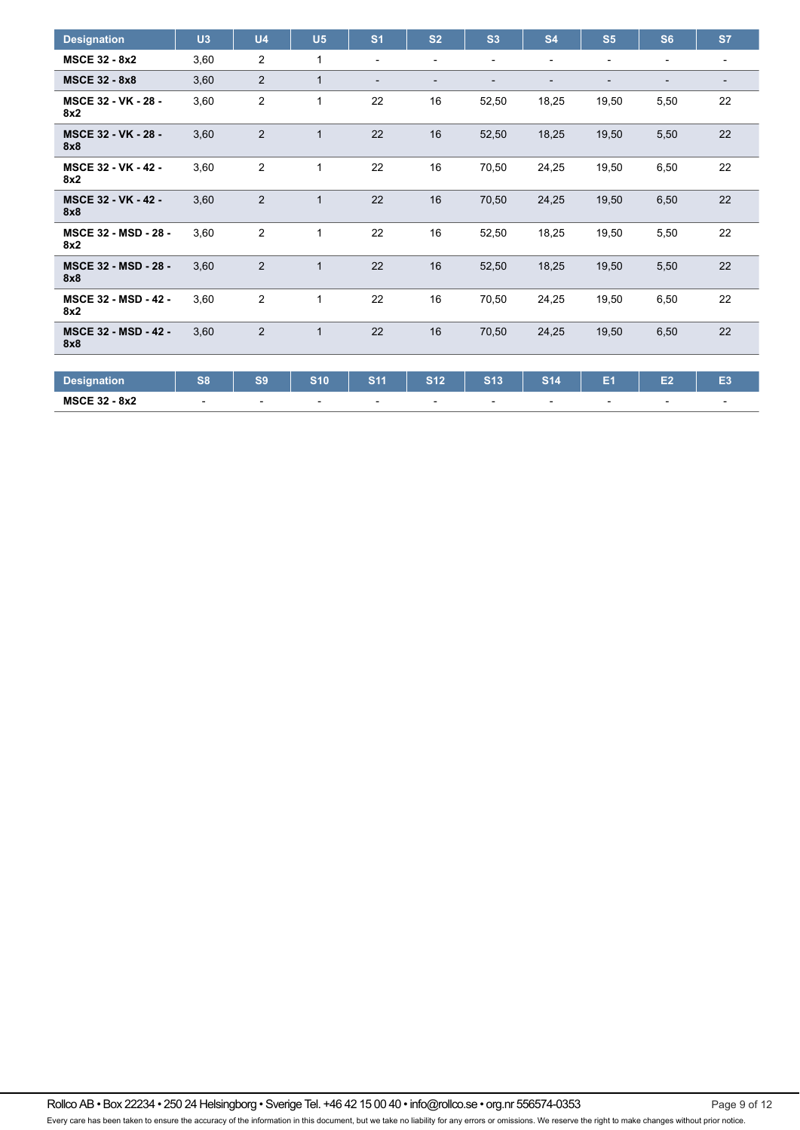| <b>Designation</b>                 | U3             | U <sub>4</sub> | U <sub>5</sub> | S <sub>1</sub>           | S <sub>2</sub>           | S3                       | <b>S4</b>                | S <sub>5</sub>           | <b>S6</b>                | <b>S7</b>                |
|------------------------------------|----------------|----------------|----------------|--------------------------|--------------------------|--------------------------|--------------------------|--------------------------|--------------------------|--------------------------|
| <b>MSCE 32 - 8x2</b>               | 3,60           | $\overline{c}$ | 1              | $\overline{\phantom{a}}$ | $\overline{a}$           | $\overline{\phantom{a}}$ | $\overline{\phantom{a}}$ | $\overline{\phantom{a}}$ | $\overline{\phantom{a}}$ | $\overline{\phantom{0}}$ |
| <b>MSCE 32 - 8x8</b>               | 3,60           | $\overline{2}$ | $\mathbf{1}$   | $\overline{a}$           | $\overline{\phantom{a}}$ |                          |                          | $\overline{\phantom{0}}$ | $\overline{\phantom{0}}$ | $\overline{\phantom{0}}$ |
| <b>MSCE 32 - VK - 28 -</b><br>8x2  | 3,60           | $\overline{c}$ | $\mathbf{1}$   | 22                       | 16                       | 52,50                    | 18,25                    | 19,50                    | 5,50                     | 22                       |
| MSCE 32 - VK - 28 -<br>8x8         | 3,60           | $\overline{2}$ | $\mathbf{1}$   | 22                       | 16                       | 52,50                    | 18,25                    | 19,50                    | 5,50                     | 22                       |
| <b>MSCE 32 - VK - 42 -</b><br>8x2  | 3,60           | $\overline{2}$ | $\mathbf{1}$   | 22                       | 16                       | 70,50                    | 24,25                    | 19,50                    | 6,50                     | 22                       |
| <b>MSCE 32 - VK - 42 -</b><br>8x8  | 3,60           | $\overline{2}$ | $\mathbf{1}$   | 22                       | 16                       | 70,50                    | 24,25                    | 19,50                    | 6,50                     | 22                       |
| <b>MSCE 32 - MSD - 28 -</b><br>8x2 | 3,60           | $\overline{c}$ | $\mathbf{1}$   | 22                       | 16                       | 52,50                    | 18,25                    | 19,50                    | 5,50                     | 22                       |
| <b>MSCE 32 - MSD - 28 -</b><br>8x8 | 3,60           | $\overline{2}$ | $\mathbf{1}$   | 22                       | 16                       | 52,50                    | 18,25                    | 19,50                    | 5,50                     | 22                       |
| <b>MSCE 32 - MSD - 42 -</b><br>8x2 | 3,60           | $\overline{2}$ | 1              | 22                       | 16                       | 70,50                    | 24,25                    | 19,50                    | 6,50                     | 22                       |
| <b>MSCE 32 - MSD - 42 -</b><br>8x8 | 3,60           | $\overline{2}$ | $\mathbf{1}$   | 22                       | 16                       | 70,50                    | 24,25                    | 19,50                    | 6,50                     | 22                       |
|                                    |                |                |                |                          |                          |                          |                          |                          |                          |                          |
| <b>Designation</b>                 | S <sub>8</sub> | S <sub>9</sub> | <b>S10</b>     | <b>S11</b>               | <b>S12</b>               | <b>S13</b>               | <b>S14</b>               | E <sub>1</sub>           | E2                       | E <sub>3</sub>           |
| <b>MSCE 32 - 8x2</b>               |                |                |                |                          |                          | $\blacksquare$           |                          | ٠                        |                          |                          |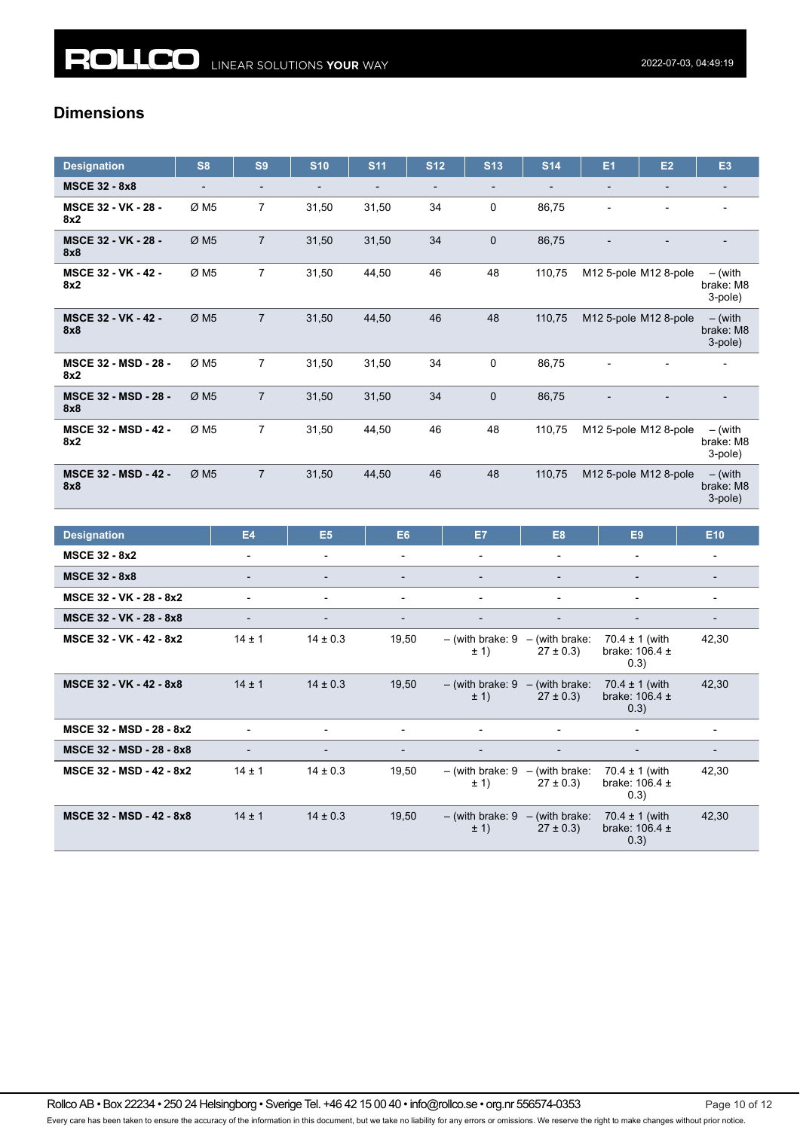| <b>Designation</b>                 | <b>S8</b>                | S <sub>9</sub>           | <b>S10</b>               | <b>S11</b>               | <b>S12</b>               | <b>S13</b>               | <b>S14</b> | E <sub>1</sub>               | E2                       | E <sub>3</sub>                    |
|------------------------------------|--------------------------|--------------------------|--------------------------|--------------------------|--------------------------|--------------------------|------------|------------------------------|--------------------------|-----------------------------------|
| <b>MSCE 32 - 8x8</b>               | $\overline{\phantom{a}}$ | $\overline{\phantom{0}}$ | $\overline{\phantom{a}}$ | $\overline{\phantom{a}}$ | $\overline{\phantom{a}}$ | $\overline{\phantom{a}}$ | ٠          | $\qquad \qquad \blacksquare$ | $\overline{\phantom{0}}$ | $\overline{\phantom{a}}$          |
| MSCE 32 - VK - 28 -<br>8x2         | ØM <sub>5</sub>          | 7                        | 31,50                    | 31,50                    | 34                       | 0                        | 86,75      | $\blacksquare$               | $\overline{\phantom{0}}$ |                                   |
| <b>MSCE 32 - VK - 28 -</b><br>8x8  | ØM5                      | $\overline{7}$           | 31,50                    | 31,50                    | 34                       | $\mathbf 0$              | 86,75      |                              |                          |                                   |
| <b>MSCE 32 - VK - 42 -</b><br>8x2  | ØM <sub>5</sub>          | $\overline{7}$           | 31,50                    | 44,50                    | 46                       | 48                       | 110,75     | M12 5-pole M12 8-pole        |                          | $-$ (with<br>brake: M8<br>3-pole) |
| <b>MSCE 32 - VK - 42 -</b><br>8x8  | ØM5                      | 7                        | 31,50                    | 44,50                    | 46                       | 48                       | 110,75     | M12 5-pole M12 8-pole        |                          | $-$ (with<br>brake: M8<br>3-pole) |
| <b>MSCE 32 - MSD - 28 -</b><br>8x2 | ØM5                      | 7                        | 31,50                    | 31,50                    | 34                       | $\mathbf 0$              | 86,75      |                              |                          |                                   |
| <b>MSCE 32 - MSD - 28 -</b><br>8x8 | ØM5                      | $\overline{7}$           | 31,50                    | 31,50                    | 34                       | $\mathbf 0$              | 86,75      |                              |                          |                                   |
| <b>MSCE 32 - MSD - 42 -</b><br>8x2 | ØM5                      | $\overline{7}$           | 31,50                    | 44,50                    | 46                       | 48                       | 110,75     | M12 5-pole M12 8-pole        |                          | $-$ (with<br>brake: M8<br>3-pole) |
| <b>MSCE 32 - MSD - 42 -</b><br>8x8 | ØM5                      | $\overline{7}$           | 31,50                    | 44,50                    | 46                       | 48                       | 110,75     | M12 5-pole M12 8-pole        |                          | $-$ (with<br>brake: M8<br>3-pole) |
|                                    |                          |                          |                          |                          |                          |                          |            |                              |                          |                                   |

| <b>Designation</b>       | <b>E4</b>                | E <sub>5</sub>           | E <sub>6</sub>           | E7                         | E <sub>8</sub>                   | E <sub>9</sub>                                   | E <sub>10</sub>          |
|--------------------------|--------------------------|--------------------------|--------------------------|----------------------------|----------------------------------|--------------------------------------------------|--------------------------|
| <b>MSCE 32 - 8x2</b>     | $\blacksquare$           | $\overline{\phantom{a}}$ | $\overline{\phantom{a}}$ | $\overline{\phantom{a}}$   | $\overline{\phantom{a}}$         |                                                  | $\blacksquare$           |
| <b>MSCE 32 - 8x8</b>     | $\overline{\phantom{a}}$ | $\overline{\phantom{a}}$ | -                        | $\overline{\phantom{a}}$   | $\overline{\phantom{a}}$         |                                                  | $\overline{\phantom{a}}$ |
| MSCE 32 - VK - 28 - 8x2  | $\overline{\phantom{a}}$ | $\overline{\phantom{a}}$ | $\overline{\phantom{a}}$ | $\overline{\phantom{a}}$   | $\overline{\phantom{a}}$         | ۰.                                               | $\overline{\phantom{a}}$ |
| MSCE 32 - VK - 28 - 8x8  | $\overline{\phantom{a}}$ | $\overline{\phantom{a}}$ | $\overline{\phantom{a}}$ | $\overline{\phantom{a}}$   | $\overline{\phantom{a}}$         |                                                  | $\overline{\phantom{a}}$ |
| MSCE 32 - VK - 42 - 8x2  | $14 \pm 1$               | $14 \pm 0.3$             | 19,50                    | $-$ (with brake: 9<br>± 1) | $-$ (with brake:<br>$27 \pm 0.3$ | 70.4 $\pm$ 1 (with<br>brake: $106.4 \pm$<br>0.3) | 42,30                    |
| MSCE 32 - VK - 42 - 8x8  | $14 \pm 1$               | $14 \pm 0.3$             | 19,50                    | $-$ (with brake: 9<br>± 1) | $-$ (with brake:<br>$27 \pm 0.3$ | $70.4 \pm 1$ (with<br>brake: $106.4 \pm$<br>0.3) | 42,30                    |
| MSCE 32 - MSD - 28 - 8x2 |                          | $\overline{\phantom{a}}$ | $\overline{\phantom{a}}$ | $\overline{\phantom{a}}$   | -                                |                                                  |                          |
| MSCE 32 - MSD - 28 - 8x8 | $\overline{\phantom{a}}$ | $\overline{\phantom{0}}$ | $\overline{\phantom{a}}$ | $\overline{\phantom{a}}$   | $\overline{\phantom{a}}$         |                                                  | $\overline{\phantom{a}}$ |
| MSCE 32 - MSD - 42 - 8x2 | $14 \pm 1$               | $14 \pm 0.3$             | 19,50                    | $-$ (with brake: 9<br>± 1) | $-$ (with brake:<br>$27 \pm 0.3$ | 70.4 $\pm$ 1 (with<br>brake: $106.4 \pm$<br>0.3) | 42,30                    |
| MSCE 32 - MSD - 42 - 8x8 | $14 \pm 1$               | $14 \pm 0.3$             | 19,50                    | $-$ (with brake: 9<br>± 1) | $-$ (with brake:<br>$27 \pm 0.3$ | 70.4 $\pm$ 1 (with<br>brake: $106.4 \pm$<br>0.3) | 42,30                    |

Rollco AB • Box 22234 • 250 24 Helsingborg • Sverige Tel. +46 42 15 00 40 • info@rollco.se • org.nr 556574-0353 Page 10 of 12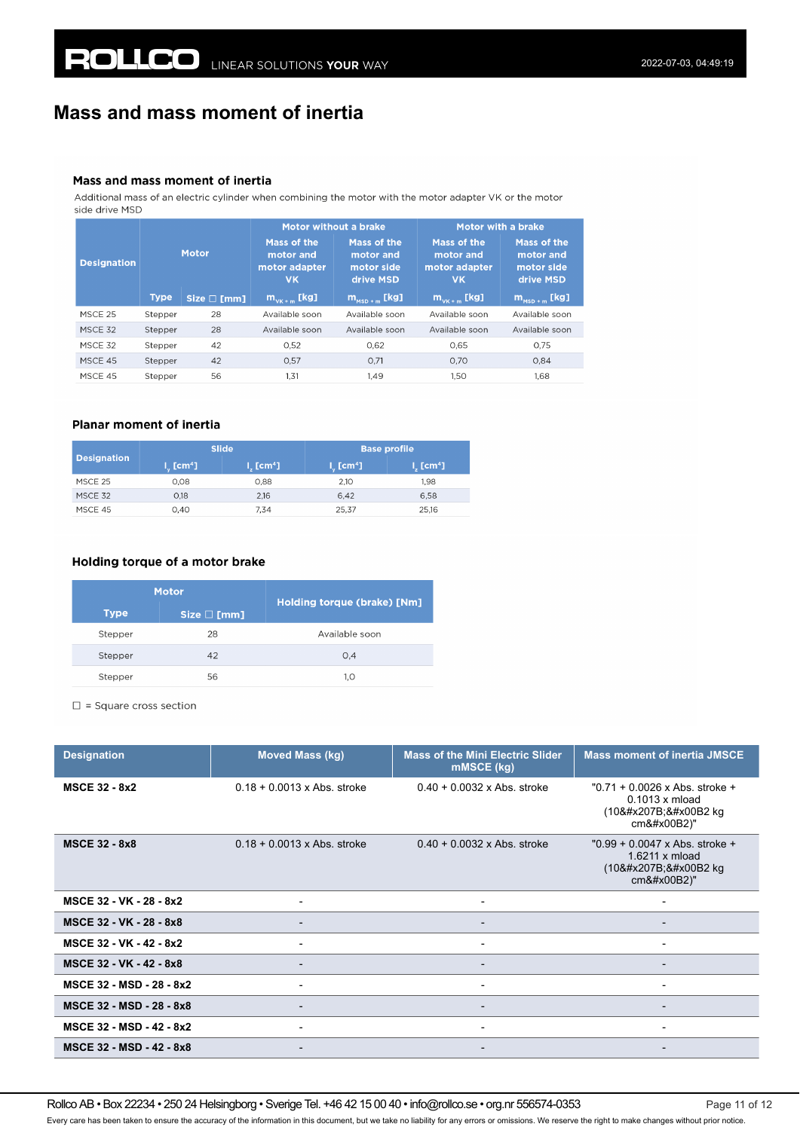### **Mass and mass moment of inertia**

#### Mass and mass moment of inertia

Additional mass of an electric cylinder when combining the motor with the motor adapter VK or the motor side drive MSD

|                    | <b>Motor</b> |                     | Motor without a brake                                  |                                                     | Motor with a brake                                     |                                                     |
|--------------------|--------------|---------------------|--------------------------------------------------------|-----------------------------------------------------|--------------------------------------------------------|-----------------------------------------------------|
| <b>Designation</b> |              |                     | Mass of the<br>motor and<br>motor adapter<br><b>VK</b> | Mass of the<br>motor and<br>motor side<br>drive MSD | Mass of the<br>motor and<br>motor adapter<br><b>VK</b> | Mass of the<br>motor and<br>motor side<br>drive MSD |
|                    | <b>Type</b>  | Size $\square$ [mm] | $m_{v_{K+m}}$ [kg]                                     | $m_{\text{mso},\text{m}}$ [kg]                      | $m_{v_{K+m}}$ [kg]                                     | $m_{\text{MSD}+m}$ [kg]                             |
| MSCE 25            | Stepper      | 28                  | Available soon                                         | Available soon                                      | Available soon                                         | Available soon                                      |
| MSCF <sub>32</sub> | Stepper      | 28                  | Available soon                                         | Available soon                                      | Available soon                                         | Available soon                                      |
| MSCF 32            | Stepper      | 42                  | 0.52                                                   | 0.62                                                | 0.65                                                   | 0.75                                                |
| MSCE 45            | Stepper      | 42                  | 0.57                                                   | 0.71                                                | 0.70                                                   | 0.84                                                |
| MSCF 45            | Stepper      | 56                  | 1,31                                                   | 1.49                                                | 1.50                                                   | 1.68                                                |

### **Planar moment of inertia**

|                    | <b>Slide</b>                   |                                | <b>Base profile</b>                    |                                |  |
|--------------------|--------------------------------|--------------------------------|----------------------------------------|--------------------------------|--|
| <b>Designation</b> | $L_{\rm c}$ [cm <sup>4</sup> ] | $l_{\rm s}$ [cm <sup>4</sup> ] | $\mathsf{l}_\omega$ [cm <sup>4</sup> ] | $l_{\rm c}$ [cm <sup>4</sup> ] |  |
| MSCE 25            | 0.08                           | 0.88                           | 2.10                                   | 1.98                           |  |
| MSCE 32            | 0.18                           | 2,16                           | 6,42                                   | 6,58                           |  |
| MSCE 45            | 0.40                           | 7.34                           | 25,37                                  | 25.16                          |  |

### Holding torque of a motor brake

| <b>Motor</b> |             |                     | Holding torque (brake) [Nm] |  |
|--------------|-------------|---------------------|-----------------------------|--|
|              | <b>Type</b> | $Size \square$ [mm] |                             |  |
|              | Stepper     | 28                  | Available soon              |  |
|              | Stepper     | 42                  | 0.4                         |  |
|              | Stepper     | 56                  | 1.0                         |  |

 $\square$  = Square cross section

| <b>Designation</b>       | <b>Moved Mass (kg)</b>        | <b>Mass of the Mini Electric Slider</b><br>mMSCE (kg) | <b>Mass moment of inertia JMSCE</b>                                              |
|--------------------------|-------------------------------|-------------------------------------------------------|----------------------------------------------------------------------------------|
| <b>MSCE 32 - 8x2</b>     | $0.18 + 0.0013$ x Abs. stroke | $0.40 + 0.0032$ x Abs. stroke                         | $"0.71 + 0.0026$ x Abs. stroke +<br>$0.1013 \times m$ load<br>(10⁻² kg)<br>cm²)" |
| <b>MSCE 32 - 8x8</b>     | $0.18 + 0.0013$ x Abs. stroke | $0.40 + 0.0032$ x Abs. stroke                         | $"0.99 + 0.0047 \times Abs.$ stroke +<br>1.6211 x mload<br>(10⁻² kg<br>cm²)"     |
| MSCE 32 - VK - 28 - 8x2  | $\blacksquare$                | $\overline{\phantom{a}}$                              |                                                                                  |
| MSCE 32 - VK - 28 - 8x8  |                               | $\overline{\phantom{0}}$                              |                                                                                  |
| MSCE 32 - VK - 42 - 8x2  | $\overline{\phantom{0}}$      | ٠                                                     | $\blacksquare$                                                                   |
| MSCE 32 - VK - 42 - 8x8  | $\overline{a}$                | $\overline{\phantom{0}}$                              | $\overline{\phantom{a}}$                                                         |
| MSCE 32 - MSD - 28 - 8x2 | $\overline{\phantom{0}}$      | $\overline{\phantom{a}}$                              | $\blacksquare$                                                                   |
| MSCE 32 - MSD - 28 - 8x8 | $\overline{\phantom{0}}$      | $\overline{\phantom{0}}$                              | $\overline{\phantom{0}}$                                                         |
| MSCE 32 - MSD - 42 - 8x2 | $\blacksquare$                | $\overline{\phantom{a}}$                              | $\overline{\phantom{a}}$                                                         |
| MSCE 32 - MSD - 42 - 8x8 |                               |                                                       |                                                                                  |

Rollco AB • Box 22234 • 250 24 Helsingborg • Sverige Tel. +46 42 15 00 40 • info@rollco.se • org.nr 556574-0353 Page 11 of 12